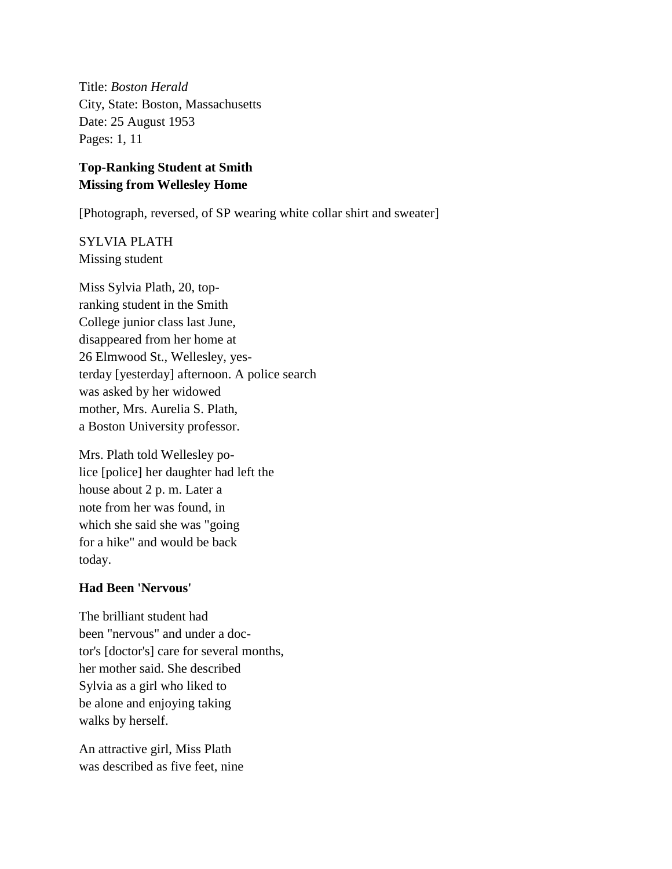Title: *Boston Herald* City, State: Boston, Massachusetts Date: 25 August 1953 Pages: 1, 11

# **Top-Ranking Student at Smith Missing from Wellesley Home**

[Photograph, reversed, of SP wearing white collar shirt and sweater]

SYLVIA PLATH Missing student

Miss Sylvia Plath, 20, topranking student in the Smith College junior class last June, disappeared from her home at 26 Elmwood St., Wellesley, yesterday [yesterday] afternoon. A police search was asked by her widowed mother, Mrs. Aurelia S. Plath, a Boston University professor.

Mrs. Plath told Wellesley police [police] her daughter had left the house about 2 p. m. Later a note from her was found, in which she said she was "going for a hike" and would be back today.

### **Had Been 'Nervous'**

The brilliant student had been "nervous" and under a doctor's [doctor's] care for several months, her mother said. She described Sylvia as a girl who liked to be alone and enjoying taking walks by herself.

An attractive girl, Miss Plath was described as five feet, nine